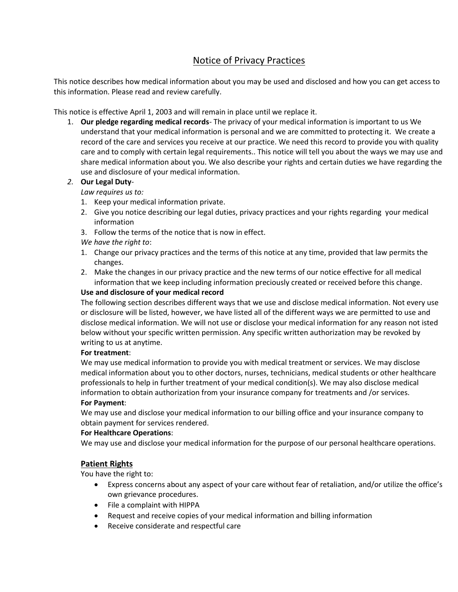## Notice of Privacy Practices

This notice describes how medical information about you may be used and disclosed and how you can get access to this information. Please read and review carefully.

This notice is effective April 1, 2003 and will remain in place until we replace it.

1. **Our pledge regarding medical records**- The privacy of your medical information is important to us We understand that your medical information is personal and we are committed to protecting it. We create a record of the care and services you receive at our practice. We need this record to provide you with quality care and to comply with certain legal requirements.. This notice will tell you about the ways we may use and share medical information about you. We also describe your rights and certain duties we have regarding the use and disclosure of your medical information.

### *2.* **Our Legal Duty***-*

*Law requires us to:* 

- 1. Keep your medical information private.
- 2. Give you notice describing our legal duties, privacy practices and your rights regarding your medical information
- 3. Follow the terms of the notice that is now in effect.
- *We have the right to*:
- 1. Change our privacy practices and the terms of this notice at any time, provided that law permits the changes.
- 2. Make the changes in our privacy practice and the new terms of our notice effective for all medical information that we keep including information preciously created or received before this change.

#### **Use and disclosure of your medical record**

The following section describes different ways that we use and disclose medical information. Not every use or disclosure will be listed, however, we have listed all of the different ways we are permitted to use and disclose medical information. We will not use or disclose your medical information for any reason not isted below without your specific written permission. Any specific written authorization may be revoked by writing to us at anytime.

#### **For treatment**:

We may use medical information to provide you with medical treatment or services. We may disclose medical information about you to other doctors, nurses, technicians, medical students or other healthcare professionals to help in further treatment of your medical condition(s). We may also disclose medical information to obtain authorization from your insurance company for treatments and /or services.

#### **For Payment**:

We may use and disclose your medical information to our billing office and your insurance company to obtain payment for services rendered.

#### **For Healthcare Operations**:

We may use and disclose your medical information for the purpose of our personal healthcare operations.

#### **Patient Rights**

You have the right to:

- Express concerns about any aspect of your care without fear of retaliation, and/or utilize the office's own grievance procedures.
- File a complaint with HIPPA
- Request and receive copies of your medical information and billing information
- Receive considerate and respectful care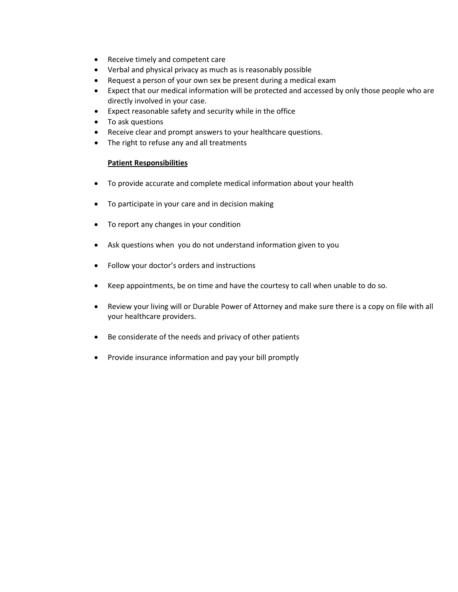- Receive timely and competent care
- Verbal and physical privacy as much as is reasonably possible
- Request a person of your own sex be present during a medical exam
- Expect that our medical information will be protected and accessed by only those people who are directly involved in your case.
- Expect reasonable safety and security while in the office
- To ask questions
- Receive clear and prompt answers to your healthcare questions.
- The right to refuse any and all treatments

#### **Patient Responsibilities**

- To provide accurate and complete medical information about your health
- To participate in your care and in decision making
- To report any changes in your condition
- Ask questions when you do not understand information given to you
- Follow your doctor's orders and instructions
- Keep appointments, be on time and have the courtesy to call when unable to do so.
- Review your living will or Durable Power of Attorney and make sure there is a copy on file with all your healthcare providers.
- Be considerate of the needs and privacy of other patients
- Provide insurance information and pay your bill promptly